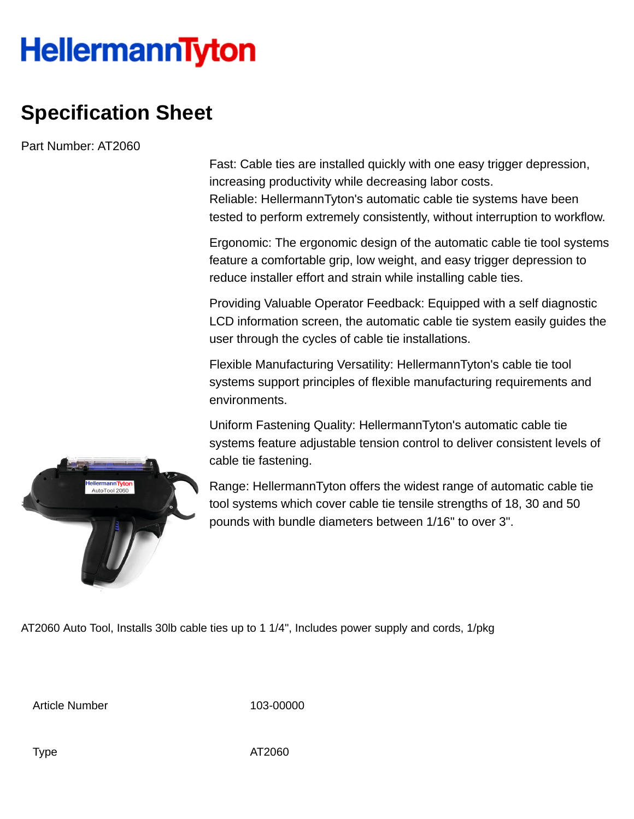## **HellermannTyton**

## **Specification Sheet**

Part Number: AT2060

Fast: Cable ties are installed quickly with one easy trigger depression, increasing productivity while decreasing labor costs. Reliable: HellermannTyton's automatic cable tie systems have been tested to perform extremely consistently, without interruption to workflow.

Ergonomic: The ergonomic design of the automatic cable tie tool systems feature a comfortable grip, low weight, and easy trigger depression to reduce installer effort and strain while installing cable ties.

Providing Valuable Operator Feedback: Equipped with a self diagnostic LCD information screen, the automatic cable tie system easily guides the user through the cycles of cable tie installations.

Flexible Manufacturing Versatility: HellermannTyton's cable tie tool systems support principles of flexible manufacturing requirements and environments.

Uniform Fastening Quality: HellermannTyton's automatic cable tie systems feature adjustable tension control to deliver consistent levels of cable tie fastening.

Range: HellermannTyton offers the widest range of automatic cable tie tool systems which cover cable tie tensile strengths of 18, 30 and 50 pounds with bundle diameters between 1/16" to over 3".

AT2060 Auto Tool, Installs 30lb cable ties up to 1 1/4", Includes power supply and cords, 1/pkg

Article Number 103-00000

**⊧llermannTytor**<br>AutoTool 2060

Type AT2060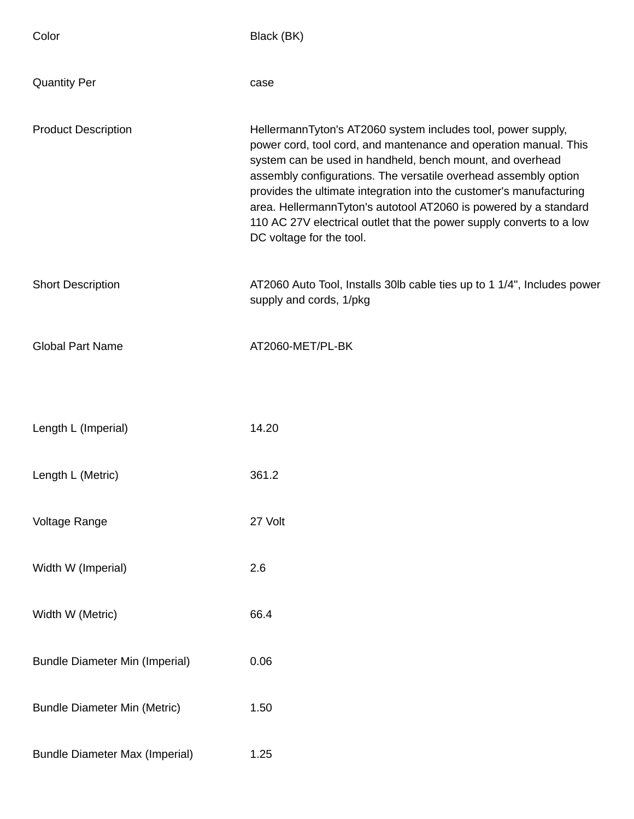| Color                                 | Black (BK)                                                                                                                                                                                                                                                                                                                                                                                                                                                                                                      |
|---------------------------------------|-----------------------------------------------------------------------------------------------------------------------------------------------------------------------------------------------------------------------------------------------------------------------------------------------------------------------------------------------------------------------------------------------------------------------------------------------------------------------------------------------------------------|
| <b>Quantity Per</b>                   | case                                                                                                                                                                                                                                                                                                                                                                                                                                                                                                            |
| <b>Product Description</b>            | HellermannTyton's AT2060 system includes tool, power supply,<br>power cord, tool cord, and mantenance and operation manual. This<br>system can be used in handheld, bench mount, and overhead<br>assembly configurations. The versatile overhead assembly option<br>provides the ultimate integration into the customer's manufacturing<br>area. HellermannTyton's autotool AT2060 is powered by a standard<br>110 AC 27V electrical outlet that the power supply converts to a low<br>DC voltage for the tool. |
| <b>Short Description</b>              | AT2060 Auto Tool, Installs 30lb cable ties up to 1 1/4", Includes power<br>supply and cords, 1/pkg                                                                                                                                                                                                                                                                                                                                                                                                              |
| <b>Global Part Name</b>               | AT2060-MET/PL-BK                                                                                                                                                                                                                                                                                                                                                                                                                                                                                                |
| Length L (Imperial)                   | 14.20                                                                                                                                                                                                                                                                                                                                                                                                                                                                                                           |
| Length L (Metric)                     | 361.2                                                                                                                                                                                                                                                                                                                                                                                                                                                                                                           |
| Voltage Range                         | 27 Volt                                                                                                                                                                                                                                                                                                                                                                                                                                                                                                         |
| Width W (Imperial)                    | 2.6                                                                                                                                                                                                                                                                                                                                                                                                                                                                                                             |
| Width W (Metric)                      | 66.4                                                                                                                                                                                                                                                                                                                                                                                                                                                                                                            |
| <b>Bundle Diameter Min (Imperial)</b> | 0.06                                                                                                                                                                                                                                                                                                                                                                                                                                                                                                            |
| <b>Bundle Diameter Min (Metric)</b>   | 1.50                                                                                                                                                                                                                                                                                                                                                                                                                                                                                                            |
| <b>Bundle Diameter Max (Imperial)</b> | 1.25                                                                                                                                                                                                                                                                                                                                                                                                                                                                                                            |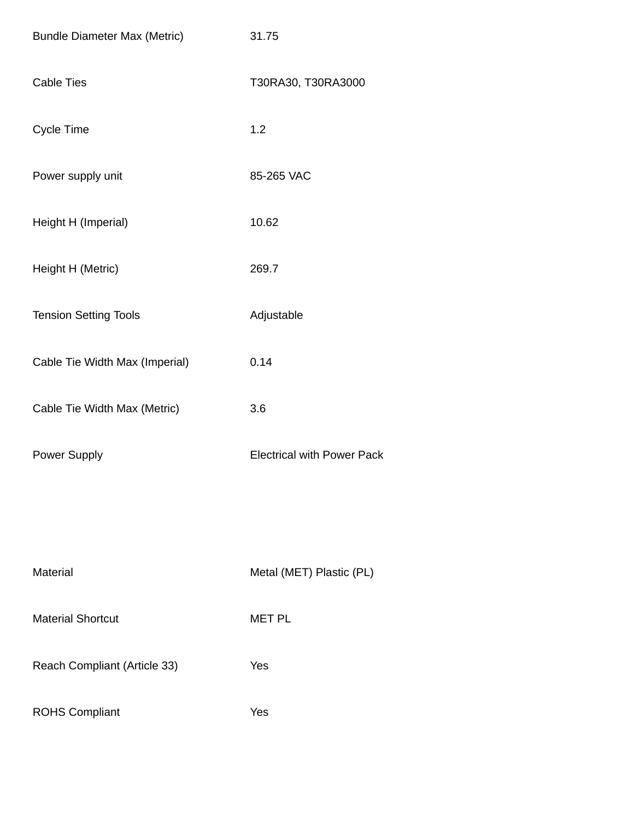| <b>Bundle Diameter Max (Metric)</b> | 31.75                             |
|-------------------------------------|-----------------------------------|
| <b>Cable Ties</b>                   | T30RA30, T30RA3000                |
| <b>Cycle Time</b>                   | 1.2                               |
| Power supply unit                   | 85-265 VAC                        |
| Height H (Imperial)                 | 10.62                             |
| Height H (Metric)                   | 269.7                             |
| <b>Tension Setting Tools</b>        | Adjustable                        |
| Cable Tie Width Max (Imperial)      | 0.14                              |
| Cable Tie Width Max (Metric)        | 3.6                               |
| <b>Power Supply</b>                 | <b>Electrical with Power Pack</b> |
|                                     |                                   |
|                                     |                                   |
| <b>Material</b>                     | Metal (MET) Plastic (PL)          |
| <b>Material Shortcut</b>            | <b>MET PL</b>                     |
| Reach Compliant (Article 33)        | Yes                               |
| <b>ROHS Compliant</b>               | Yes                               |